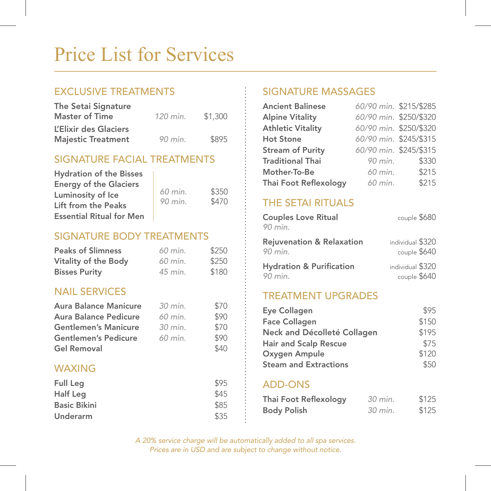# Price List for Services

# EXCLUSIVE TREATMENTS

| The Setai Signature       |          |         |
|---------------------------|----------|---------|
| <b>Master of Time</b>     | 120 min. | \$1,300 |
| L'Elixir des Glaciers     |          |         |
| <b>Majestic Treatment</b> | 90 min.  | \$895   |

## SIGNATURE FACIAL TREATMENTS

| <b>Hydration of the Bisses</b>  |         |       |
|---------------------------------|---------|-------|
| <b>Energy of the Glaciers</b>   |         |       |
| Luminosity of Ice               | 60 min. | \$350 |
| Lift from the Peaks             | 90 min. | \$470 |
| <b>Essential Ritual for Men</b> |         |       |

## SIGNATURE BODY TREATMENTS

| <b>Peaks of Slimness</b> | 60 min. | \$250 |
|--------------------------|---------|-------|
| Vitality of the Body     | 60 min. | \$250 |
| <b>Bisses Purity</b>     | 45 min. | \$180 |

## NAIL SERVICES

| Aura Balance Manicure        | 30 min. | \$70 |
|------------------------------|---------|------|
| <b>Aura Balance Pedicure</b> | 60 min. | \$90 |
| <b>Gentlemen's Manicure</b>  | 30 min. | \$70 |
| <b>Gentlemen's Pedicure</b>  | 60 min. | \$90 |
| Gel Removal                  |         | \$40 |

### WAXING

| Full Leg            | \$95 |
|---------------------|------|
| Half Leg            | \$45 |
| <b>Basic Bikini</b> | \$85 |
| Underarm            | \$35 |

# SIGNATURE MASSAGES

| <b>Ancient Balinese</b>  | 60/90 min. \$215/\$285 |       |
|--------------------------|------------------------|-------|
| <b>Alpine Vitality</b>   | 60/90 min. \$250/\$320 |       |
| <b>Athletic Vitality</b> | 60/90 min. \$250/\$320 |       |
| <b>Hot Stone</b>         | 60/90 min. \$245/\$315 |       |
| <b>Stream of Purity</b>  | 60/90 min. \$245/\$315 |       |
| <b>Traditional Thai</b>  | 90 min.                | \$330 |
| Mother-To-Be             | 60 min.                | \$215 |
| Thai Foot Reflexology    | 60 min.                | \$215 |

# THE SETAI RITUALS

| <b>Couples Love Ritual</b><br>90 min. | couple \$680     |
|---------------------------------------|------------------|
| <b>Rejuvenation &amp; Relaxation</b>  | individual \$320 |
| 90 min.                               | couple \$640     |
| <b>Hydration &amp; Purification</b>   | individual \$320 |
| 90 min.                               | couple \$640     |

### TREATMENT UPGRADES

| Eye Collagen                 | \$95  |
|------------------------------|-------|
| <b>Face Collagen</b>         | \$150 |
| Neck and Décolleté Collagen  | \$195 |
| <b>Hair and Scalp Rescue</b> | \$75  |
| Oxygen Ampule                | \$120 |
| <b>Steam and Extractions</b> | \$50  |
|                              |       |

### ADD-ONS

| Thai Foot Reflexology | 30 min. | \$125 |
|-----------------------|---------|-------|
| <b>Body Polish</b>    | 30 min. | \$125 |

*A 20% service charge will be automatically added to all spa services. Prices are in USD and are subject to change without notice.*